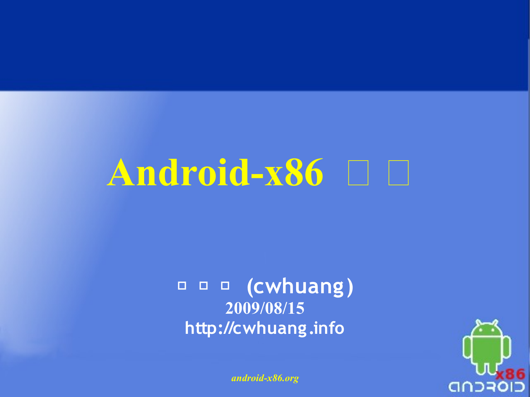## Android-x86 日 日

#### **黃 志 偉 (cwhuang ) 2009/08/15 http://cwhuang .info**

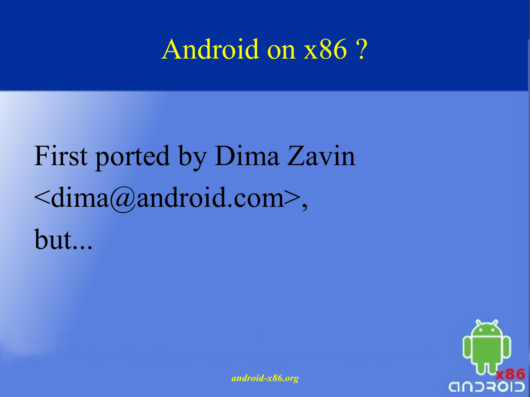#### Android on x86 ?

### First ported by Dima Zavin <[dima@android.com](mailto:dima@android.com)>, but...

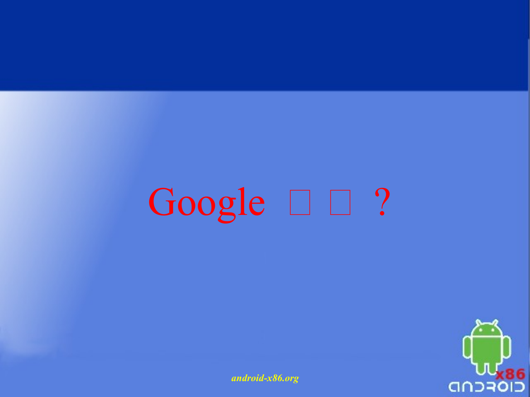# Google  $\square$  ?

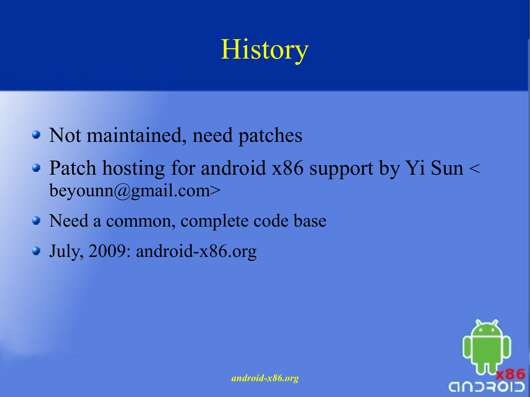#### **History**

- Not maintained, need patches
- Patch hosting for android x86 support by Yi Sun < [beyounn@gmail.com>](mailto:beyounn@gmail.com)
- Need a common, complete code base
- July, 2009: android-x86.org

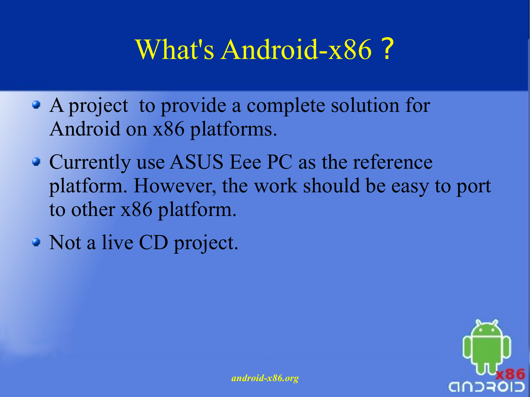#### What's Android-x86 ?

- A project to provide a complete solution for Android on x86 platforms.
- Currently use ASUS Eee PC as the reference platform. However, the work should be easy to port to other x86 platform.
- Not a live CD project.

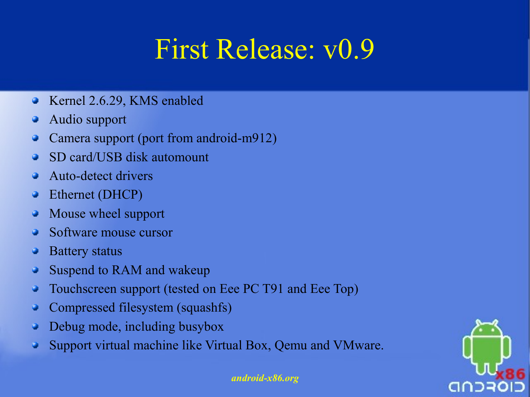#### First Release: v0.9

- Kernel 2.6.29, KMS enabled  $\bullet$
- Audio support
- Camera support (port from android-m912) Q
- SD card/USB disk automount a
- Auto-detect drivers
- Ethernet (DHCP) Q
- Mouse wheel support Q
- Software mouse cursor
- Battery status
- Suspend to RAM and wakeup
- Touchscreen support (tested on Eee PC T91 and Eee Top)
- Compressed filesystem (squashfs)
- Debug mode, including busybox
- Support virtual machine like Virtual Box, Qemu and VMware.

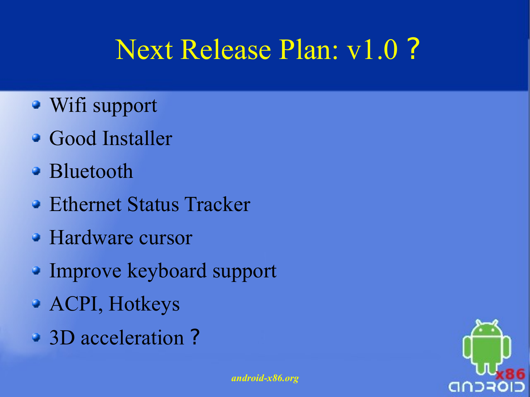### Next Release Plan: v1.0 ?

- Wifi support
- Good Installer
- Bluetooth
- **Ethernet Status Tracker**
- Hardware cursor
- Improve keyboard support
- ACPI, Hotkeys
- 3D acceleration ?

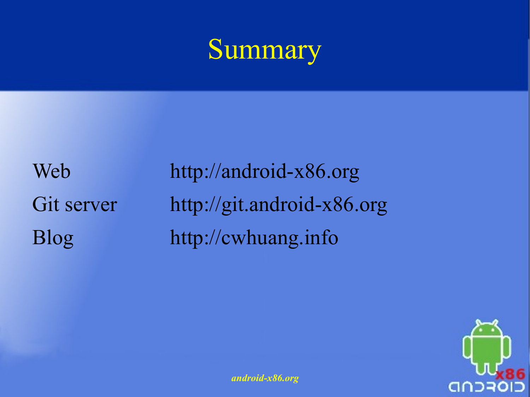#### Summary

Web Git server Blog

http://android-x86.org [http://git.android-x86.org](http://git.android-x86.org/)  [http://cwhuang.info](http://cwhuang.info/)

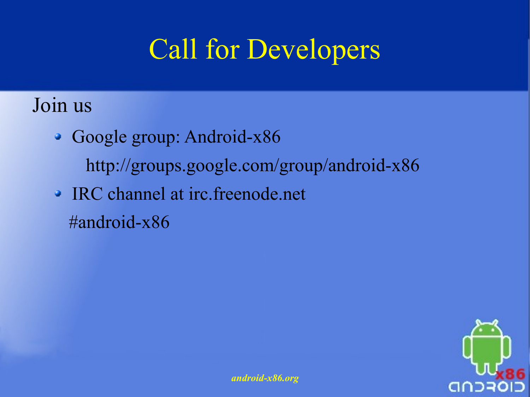### Call for Developers

Join us

- Google group: Android-x86 http://groups.google.com/group/android-x86
- IRC channel at irc.freenode.net #android-x86